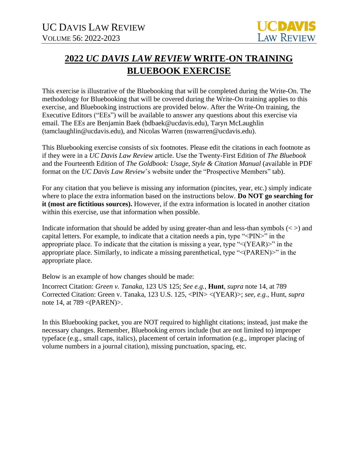## **2022** *UC DAVIS LAW REVIEW* **WRITE-ON TRAINING BLUEBOOK EXERCISE**

This exercise is illustrative of the Bluebooking that will be completed during the Write-On. The methodology for Bluebooking that will be covered during the Write-On training applies to this exercise, and Bluebooking instructions are provided below. After the Write-On training, the Executive Editors ("EEs") will be available to answer any questions about this exercise via email. The EEs are Benjamin Baek (bdbaek@ucdavis.edu), Taryn McLaughlin (tamclaughlin@ucdavis.edu), and Nicolas Warren (nswarren@ucdavis.edu).

This Bluebooking exercise consists of six footnotes. Please edit the citations in each footnote as if they were in a *UC Davis Law Review* article. Use the Twenty-First Edition of *The Bluebook*  and the Fourteenth Edition of *The Goldbook: Usage, Style & Citation Manual* (available in PDF format on the *UC Davis Law Review*'s website under the "Prospective Members" tab).

For any citation that you believe is missing any information (pincites, year, etc.) simply indicate where to place the extra information based on the instructions below. **Do NOT go searching for it (most are fictitious sources).** However, if the extra information is located in another citation within this exercise, use that information when possible.

Indicate information that should be added by using greater-than and less-than symbols  $\left\langle \langle \rangle \right\rangle$  and capital letters. For example, to indicate that a citation needs a pin, type "<PIN>" in the appropriate place. To indicate that the citation is missing a year, type "<(YEAR)>" in the appropriate place. Similarly, to indicate a missing parenthetical, type "<(PAREN)>" in the appropriate place.

Below is an example of how changes should be made:

Incorrect Citation: *Green v. Tanaka*, 123 US 125; *See e.g.*, **Hunt**, *supra* note 14, at 789 Corrected Citation: Green v. Tanaka, 123 U.S. 125, <PIN> <(YEAR)>; *see, e.g.*, Hunt, *supra*  note 14, at 789 <(PAREN)>.

In this Bluebooking packet, you are NOT required to highlight citations; instead, just make the necessary changes. Remember, Bluebooking errors include (but are not limited to) improper typeface (e.g., small caps, italics), placement of certain information (e.g., improper placing of volume numbers in a journal citation), missing punctuation, spacing, etc.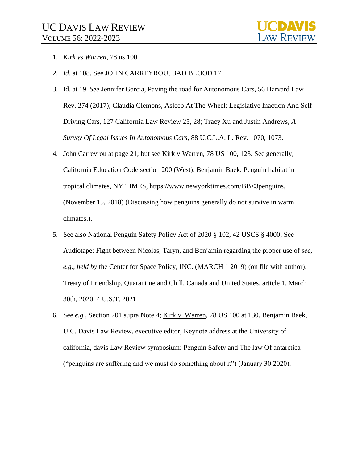- 1. *Kirk vs Warren*, 78 us 100
- 2. *Id*. at 108. See JOHN CARREYROU, BAD BLOOD 17.
- 3. Id. at 19. *See* Jennifer Garcia, Paving the road for Autonomous Cars, 56 Harvard Law Rev. 274 (2017); Claudia Clemons, Asleep At The Wheel: Legislative Inaction And Self-Driving Cars, 127 California Law Review 25, 28; Tracy Xu and Justin Andrews, *A Survey Of Legal Issues In Autonomous Cars*, 88 U.C.L.A. L. Rev. 1070, 1073.
- 4. John Carreyrou at page 21; but see Kirk v Warren, 78 US 100, 123. See generally*,*  California Education Code section 200 (West). Benjamin Baek, Penguin habitat in tropical climates, NY TIMES, https://www.newyorktimes.com/BB<3penguins, (November 15, 2018) (Discussing how penguins generally do not survive in warm climates.).
- 5. See also National Penguin Safety Policy Act of 2020 § 102, 42 USCS § 4000; See Audiotape: Fight between Nicolas, Taryn, and Benjamin regarding the proper use of *see, e.g.*, *held by* the Center for Space Policy, INC. (MARCH 1 2019) (on file with author). Treaty of Friendship, Quarantine and Chill, Canada and United States, article 1, March 30th, 2020, 4 U.S.T. 2021.
- 6. See *e.g.,* Section 201 supra Note 4; Kirk v. Warren, 78 US 100 at 130. Benjamin Baek, U.C. Davis Law Review, executive editor, Keynote address at the University of california, davis Law Review symposium: Penguin Safety and The law Of antarctica ("penguins are suffering and we must do something about it") (January 30 2020).